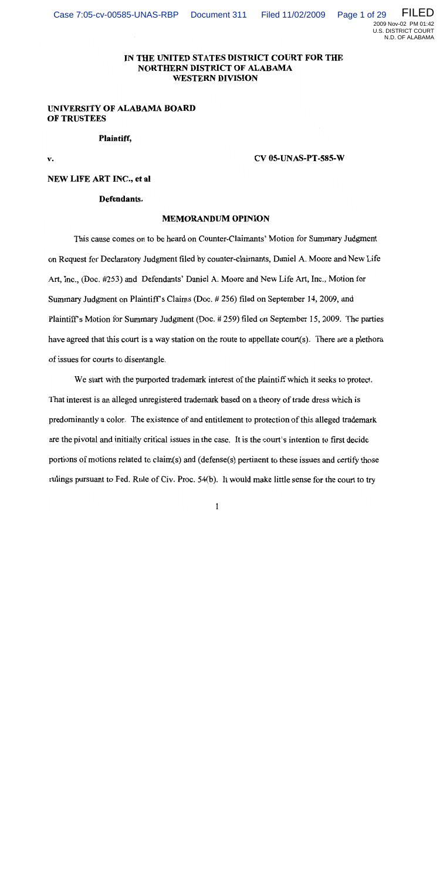2009 Nov-02 PM **U.S. DISTRICT COURT** N.D. OF ALABAMA

## IN THE UNITED STATES DISTRICT COURT FOR THE NORTHERN DISTRICT OF ALABAMA **WESTERN DIVISION**

## **UNIVERSITY OF ALABAMA BOARD OF TRUSTEES**

Plaintiff,

v.

**CV 05-UNAS-PT-585-W** 

#### NEW LIFE ART INC., et al

#### Defendants.

#### **MEMORANDUM OPINION**

This cause comes on to be heard on Counter-Claimants' Motion for Summary Judgment on Request for Declaratory Judgment filed by counter-claimants, Daniel A. Moore and New Life Art. Inc., (Doc. #253) and Defendants' Daniel A. Moore and New Life Art, Inc., Motion for Summary Judgment on Plaintiff's Claims (Doc. # 256) filed on September 14, 2009, and Plaintiff's Motion for Summary Judgment (Doc. #259) filed on September 15, 2009. The parties have agreed that this court is a way station on the route to appellate court(s). There are a plethora of issues for courts to disentangle.

We start with the purported trademark interest of the plaintiff which it seeks to protect. That interest is an alleged unregistered trademark based on a theory of trade dress which is predominantly a color. The existence of and entitlement to protection of this alleged trademark are the pivotal and initially critical issues in the case. It is the court's intention to first decide portions of motions related to claim(s) and (defense(s) pertinent to these issues and certify those rulings pursuant to Fed. Rule of Civ. Proc. 54(b). It would make little sense for the court to try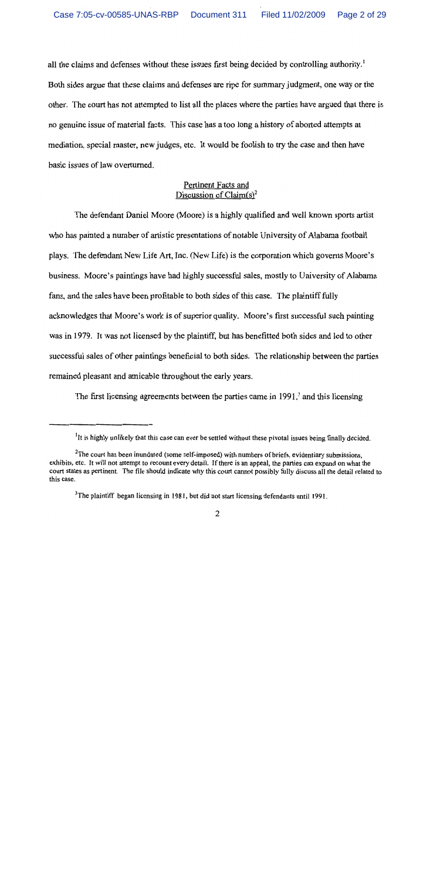all the claims and defenses without these issues first being decided by controlling authority.<sup>1</sup> Both sides argue that these claims and defenses are ripe for summary judgment, one way or the other. The court has not attempted to list all the places where the parties have argued that there is no genuine issue of material facts. This case has a too long a history of aborted attempts at mediation, special master, new judges, etc. It would be foolish to try the case and then have basic issues of law overturned.

# Pertinent Facts and Discussion of Claim(s)<sup>2</sup>

The defendant Daniel Moore (Moore) is a highly qualified and well known sports artist who has painted a number of artistic presentations of notable University of Alabama football plays. The defendant New Life Art, Inc. (New Life) is the corporation which governs Moore's business. Moore's paintings have had highly successful sales, mostly to University of Alabama fans, and the sales have been profitable to both sides of this case. The plaintiff fully acknowledges that Moore's work is of superior quality. Moore's first successful such painting was in 1979. It was not licensed by the plaintiff, but has benefitted both sides and led to other successful sales of other paintings beneficial to both sides. The relationship between the parties remained pleasant and amicable throughout the early years.

The first licensing agreements between the parties came in 1991,<sup>3</sup> and this licensing

<sup>&</sup>lt;sup>1</sup>It is highly unlikely that this case can ever be settled without these pivotal issues being finally decided.

 $2$ The court has been inundated (some self-imposed) with numbers of briefs, evidentiary submissions, exhibits, etc. It will not attempt to recount every detail. If there is an appeal, the parties can expand on what the court states as pertinent. The file should indicate why this court cannot possibly fully discuss all the detail related to this case.

 $3$ The plaintiff began licensing in 1981, but did not start licensing defendants until 1991.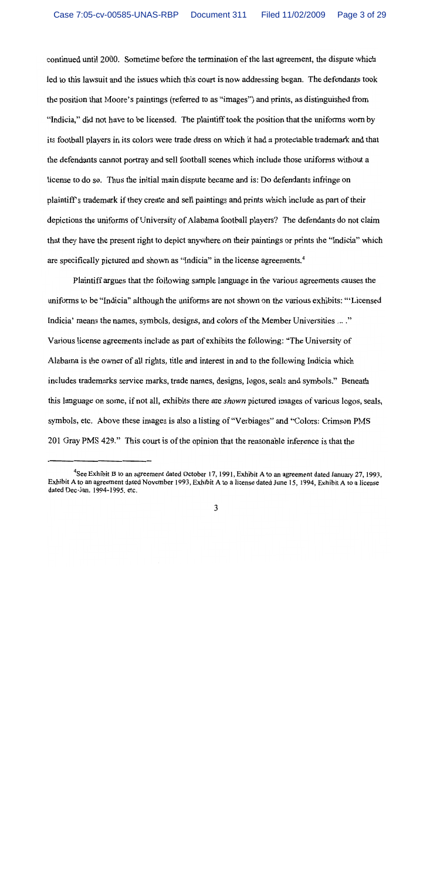continued until 2000. Sometime before the termination of the last agreement, the dispute which led to this lawsuit and the issues which this court is now addressing began. The defendants took the position that Moore's paintings (referred to as "images") and prints, as distinguished from "Indicia," did not have to be licensed. The plaintiff took the position that the uniforms worn by its football players in its colors were trade dress on which it had a protectable trademark and that the defendants cannot portray and sell football scenes which include those uniforms without a license to do so. Thus the initial main dispute became and is: Do defendants infringe on plaintiff's trademark if they create and sell paintings and prints which include as part of their depictions the uniforms of University of Alabama football players? The defendants do not claim that they have the present right to depict anywhere on their paintings or prints the "Indicia" which are specifically pictured and shown as "Indicia" in the license agreements.<sup>4</sup>

Plaintiff argues that the following sample language in the various agreements causes the uniforms to be "Indicia" although the uniforms are not shown on the various exhibits: "'Licensed" Indicia' means the names, symbols, designs, and colors of the Member Universities ...." Various license agreements include as part of exhibits the following: "The University of Alabama is the owner of all rights, title and interest in and to the following Indicia which includes trademarks service marks, trade names, designs, logos, seals and symbols." Beneath this language on some, if not all, exhibits there are *shown* pictured images of various logos, seals, symbols, etc. Above these images is also a listing of "Verbiages" and "Colors: Crimson PMS 201 Gray PMS 429." This court is of the opinion that the reasonable inference is that the

<sup>&</sup>lt;sup>4</sup>See Exhibit B to an agreement dated October 17, 1991, Exhibit A to an agreement dated January 27, 1993. Exhibit A to an agreement dated November 1993, Exhibit A to a license dated June 15, 1994, Exhibit A to a license dated Dec-Jan. 1994-1995, etc.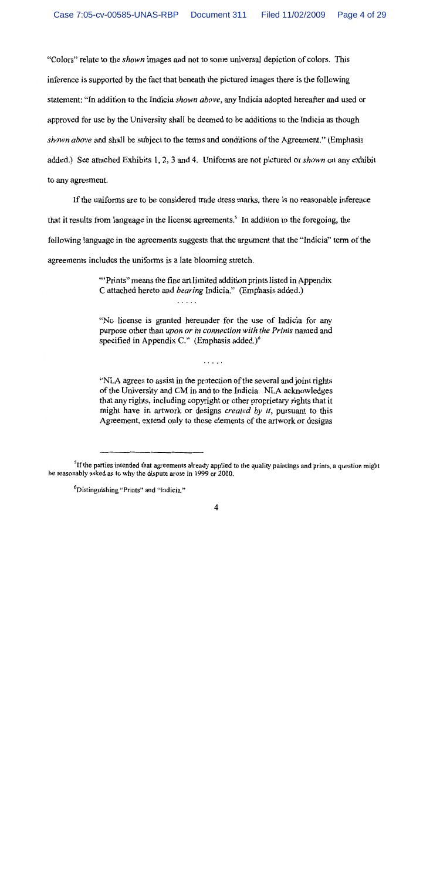"Colors" relate to the *shown* images and not to some universal depiction of colors. This inference is supported by the fact that beneath the pictured images there is the following statement: "In addition to the Indicia shown above, any Indicia adopted hereafter and used or approved for use by the University shall be deemed to be additions to the Indicia as though shown above and shall be subject to the terms and conditions of the Agreement." (Emphasis added.) See attached Exhibits 1, 2, 3 and 4. Uniforms are not pictured or *shown* on any exhibit to any agreement.

If the uniforms are to be considered trade dress marks, there is no reasonable inference that it results from language in the license agreements.<sup>5</sup> In addition to the foregoing, the following language in the agreements suggests that the argument that the "Indicia" term of the agreements includes the uniforms is a late blooming stretch.

> "Prints" means the fine art limited addition prints listed in Appendix C attached hereto and *bearing* Indicia." (Emphasis added.)

> > . . . . .

"No license is granted hereunder for the use of Indicia for any purpose other than upon or in connection with the Prints named and specified in Appendix C." (Emphasis added.)<sup>6</sup>

"NLA agrees to assist in the protection of the several and joint rights of the University and CM in and to the Indicia. NLA acknowledges that any rights, including copyright or other proprietary rights that it might have in artwork or designs created by it, pursuant to this Agreement, extend only to those elements of the artwork or designs

 $<sup>5</sup>$ If the parties intended that agreements already applied to the quality paintings and prints, a question might</sup> be reasonably asked as to why the dispute arose in 1999 or 2000.

<sup>&</sup>lt;sup>6</sup>Distinguishing "Prints" and "Indicia."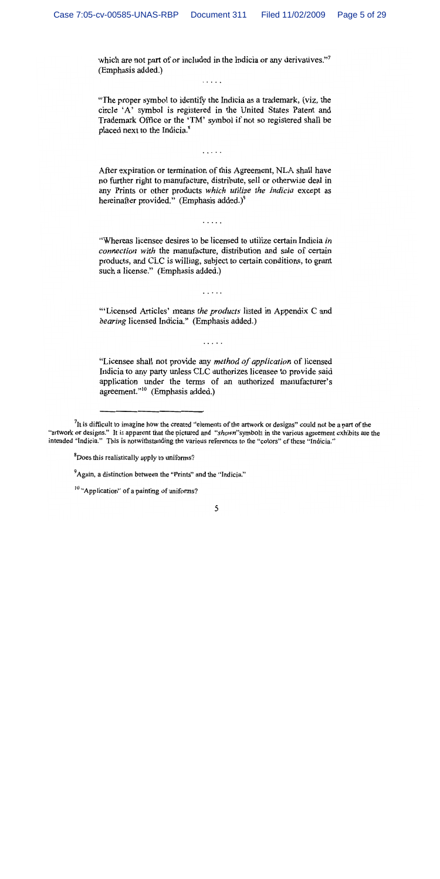which are not part of or included in the Indicia or any derivatives."<sup>7</sup> (Emphasis added.)

. . . . .

"The proper symbol to identify the Indicia as a trademark, (viz, the circle 'A' symbol is registered in the United States Patent and Trademark Office or the 'TM' symbol if not so registered shall be placed next to the Indicia.<sup>8</sup>

. . . . .

After expiration or termination of this Agreement, NLA shall have no further right to manufacture, distribute, sell or otherwise deal in any Prints or other products which utilize the Indicia except as hereinafter provided." (Emphasis added.)<sup>9</sup>

 $. . . . .$ 

"Whereas licensee desires to be licensed to utilize certain Indicia in connection with the manufacture, distribution and sale of certain products, and CLC is willing, subject to certain conditions, to grant such a license." (Emphasis added.)

. . . . .

"'Licensed Articles' means the products listed in Appendix C and *bearing* licensed Indicia." (Emphasis added.)

. . . . .

"Licensee shall not provide any method of application of licensed Indicia to any party unless CLC authorizes licensee to provide said application under the terms of an authorized manufacturer's agreement." $10$  (Emphasis added.)

 $<sup>7</sup>$ It is difficult to imagine how the created "elements of the artwork or designs" could not be a part of the</sup> "artwork or designs." It is apparent that the pictured and "shown" symbols in the various agreement exhibits are the intended "Indicia." This is notwithstanding the various references to the "colors" of these "Indicia."

<sup>&</sup>lt;sup>8</sup>Does this realistically apply to uniforms?

 $9^9$ Again, a distinction between the "Prints" and the "Indicia."

<sup>&</sup>lt;sup>10</sup> "Application" of a painting of uniforms?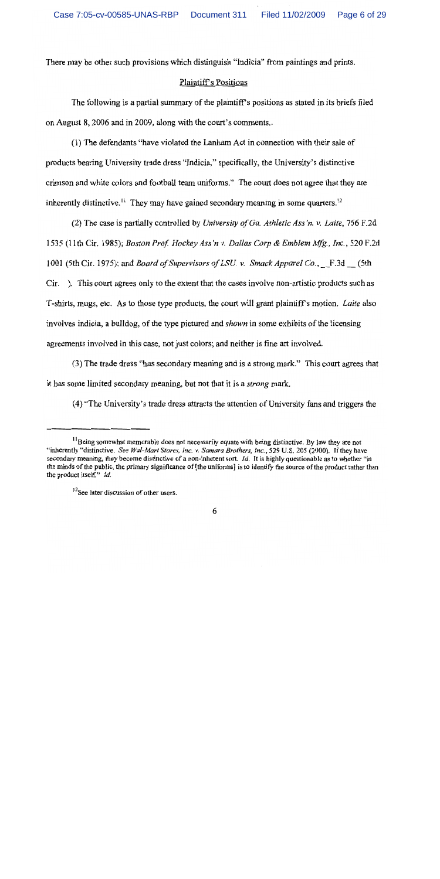There may be other such provisions which distinguish "Indicia" from paintings and prints.

#### **Plaintiff's Positions**

The following is a partial summary of the plaintiff's positions as stated in its briefs filed on August 8, 2006 and in 2009, along with the court's comments...

(1) The defendants "have violated the Lanham Act in connection with their sale of products bearing University trade dress "Indicia," specifically, the University's distinctive crimson and white colors and football team uniforms." The court does not agree that they are inherently distinctive.<sup>11</sup> They may have gained secondary meaning in some quarters.<sup>12</sup>

(2) The case is partially controlled by University of Ga. Athletic Ass'n. v. Laite, 756 F.2d 1535 (11th Cir. 1985); Boston Prof. Hockey Ass'n v. Dallas Corp & Emblem Mfg., Inc., 520 F.2d 1001 (5th Cir. 1975); and Board of Supervisors of LSU. v. Smack Apparel Co., F.3d (5th Cir. ). This court agrees only to the extent that the cases involve non-artistic products such as T-shirts, mugs, etc. As to those type products, the court will grant plaintiff's motion. Laite also involves indicia, a bulldog, of the type pictured and *shown* in some exhibits of the licensing agreements involved in this case, not just colors; and neither is fine art involved.

(3) The trade dress "has secondary meaning and is a strong mark." This court agrees that it has some limited secondary meaning, but not that it is a *strong* mark.

(4) "The University's trade dress attracts the attention of University fans and triggers the

 $<sup>11</sup>$ Being somewhat memorable does not necessarily equate with being distinctive. By law they are not</sup> "inherently "distinctive. See Wal-Mart Stores, Inc. v. Samara Brothers, Inc., 529 U.S. 205 (2000). If they have secondary meaning, they become distinctive of a non-inherent sort. Id. It is highly questionable as to whether "in the minds of the public, the primary significance of [the uniforms] is to identify the source of the product rather than the product itself." Id.

<sup>&</sup>lt;sup>12</sup>See later discussion of other users.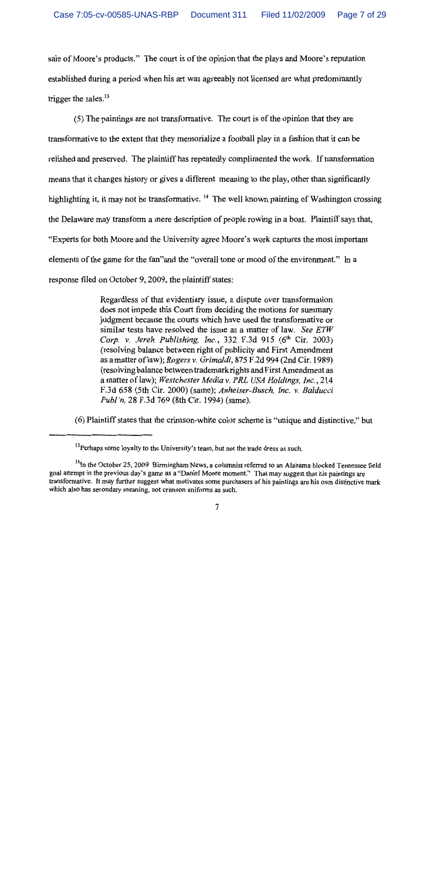sale of Moore's products." The court is of the opinion that the plays and Moore's reputation established during a period when his art was agreeably not licensed are what predominantly trigger the sales. $^{13}$ 

(5) The paintings are not transformative. The court is of the opinion that they are transformative to the extent that they memorialize a football play in a fashion that it can be relished and preserved. The plaintiff has repeatedly complimented the work. If transformation means that it changes history or gives a different meaning to the play, other than significantly highlighting it, it may not be transformative.  $14$  The well known painting of Washington crossing the Delaware may transform a mere description of people rowing in a boat. Plaintiff says that, "Experts for both Moore and the University agree Moore's work captures the most important elements of the game for the fan'and the "overall tone or mood of the environment." In a response filed on October 9, 2009, the plaintiff states:

> Regardless of that evidentiary issue, a dispute over transformation does not impede this Court from deciding the motions for summary judgment because the courts which have used the transformative or similar tests have resolved the issue as a matter of law. See ETW Corp. v. Jereh Publishing, Inc., 332 F.3d 915  $(6<sup>th</sup>$  Cir. 2003) (resolving balance between right of publicity and First Amendment as a matter of law); *Rogers v. Grimaldi*, 875 F.2d 994 (2nd Cir. 1989) (resolving balance between trademark rights and First Amendment as a matter of law); Westchester Media v. PRL USA Holdings. Inc., 214 F.3d 658 (5th Cir. 2000) (same); Anheiser-Busch, Inc. v. Balducci *Publ'n.* 28 F.3d 769 (8th Cir. 1994) (same).

(6) Plaintiff states that the crimson-white color scheme is "unique and distinctive," but

<sup>&</sup>lt;sup>13</sup> Perhaps some loyalty to the University's team, but not the trade dress as such.

<sup>&</sup>lt;sup>14</sup>In the October 25, 2009 Birmingham News, a columnist referred to an Alabama blocked Tennessee field goal attempt in the previous day's game as a "Daniel Moore moment." That may suggest that his paintings are transformative. It may further suggest what motivates some purchasers of his paintings are his own distinctive mark which also has secondary meaning, not crimson uniforms as such.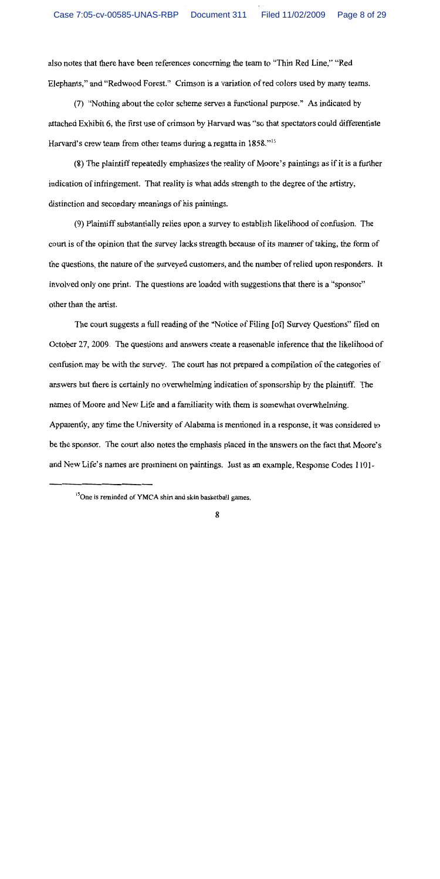also notes that there have been references concerning the team to "Thin Red Line," "Red Elephants," and "Redwood Forest." Crimson is a variation of red colors used by many teams.

(7) "Nothing about the color scheme serves a functional purpose." As indicated by attached Exhibit 6, the first use of crimson by Harvard was "so that spectators could differentiate Harvard's crew team from other teams during a regatta in 1858."<sup>15</sup>

(8) The plaintiff repeatedly emphasizes the reality of Moore's paintings as if it is a further indication of infringement. That reality is what adds strength to the degree of the artistry, distinction and secondary meanings of his paintings.

(9) Plaintiff substantially relies upon a survey to establish likelihood of confusion. The court is of the opinion that the survey lacks strength because of its manner of taking, the form of the questions, the nature of the surveyed customers, and the number of relied upon responders. It involved only one print. The questions are loaded with suggestions that there is a "sponsor" other than the artist.

The court suggests a full reading of the "Notice of Filing [of] Survey Questions" filed on October 27, 2009. The questions and answers create a reasonable inference that the likelihood of confusion may be with the survey. The court has not prepared a compilation of the categories of answers but there is certainly no overwhelming indication of sponsorship by the plaintiff. The names of Moore and New Life and a familiarity with them is somewhat overwhelming. Apparently, any time the University of Alabama is mentioned in a response, it was considered to be the sponsor. The court also notes the emphasis placed in the answers on the fact that Moore's and New Life's names are prominent on paintings. Just as an example, Response Codes 1101-

<sup>&</sup>lt;sup>15</sup>One is reminded of YMCA shirt and skin basketball games.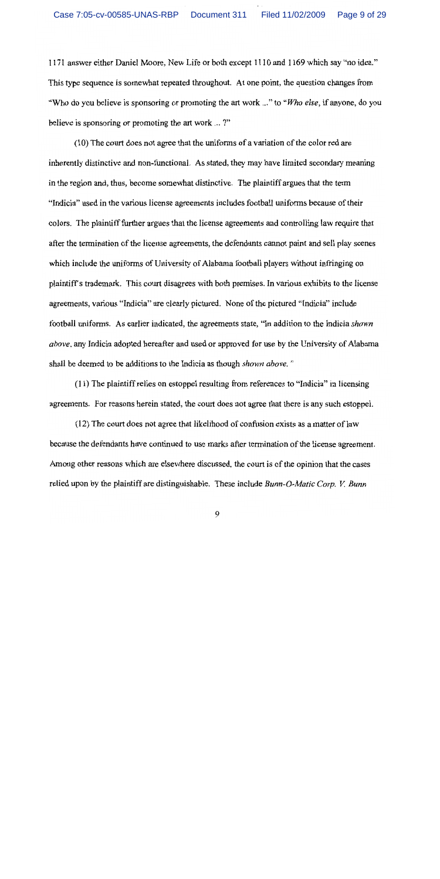1171 answer either Daniel Moore, New Life or both except 1110 and 1169 which say "no idea." This type sequence is somewhat repeated throughout. At one point, the question changes from "Who do you believe is sponsoring or promoting the art work ..." to "Who else, if anyone, do you believe is sponsoring or promoting the art work ...?"

(10) The court does not agree that the uniforms of a variation of the color red are inherently distinctive and non-functional. As stated, they may have limited secondary meaning in the region and, thus, become somewhat distinctive. The plaintiff argues that the term "Indicia" used in the various license agreements includes football uniforms because of their colors. The plaintiff further argues that the license agreements and controlling law require that after the termination of the license agreements, the defendants cannot paint and sell play scenes which include the uniforms of University of Alabama football players without infringing on plaintiff's trademark. This court disagrees with both premises. In various exhibits to the license agreements, various "Indicia" are clearly pictured. None of the pictured "Indicia" include football uniforms. As earlier indicated, the agreements state, "In addition to the Indicia shown *above*, any Indicia adopted hereafter and used or approved for use by the University of Alabama shall be deemed to be additions to the Indicia as though *shown above.*"

(11) The plaintiff relies on estoppel resulting from references to "Indicia" in licensing agreements. For reasons herein stated, the court does not agree that there is any such estoppel.

(12) The court does not agree that likelihood of confusion exists as a matter of law because the defendants have continued to use marks after termination of the license agreement. Among other reasons which are elsewhere discussed, the court is of the opinion that the cases relied upon by the plaintiff are distinguishable. These include Bunn-O-Matic Corp. V. Bunn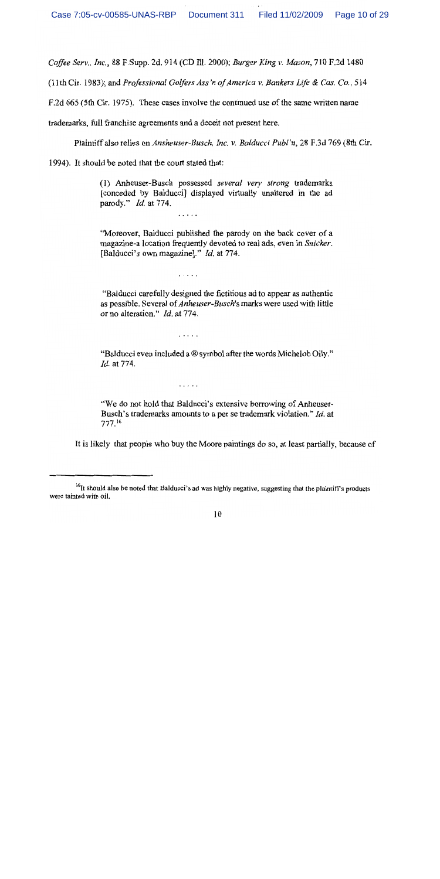Coffee Serv., Inc., 88 F.Supp. 2d. 914 (CD Ill. 2000); Burger King v. Mason, 710 F.2d 1480

(11th Cir. 1983); and *Professional Golfers Ass'n of America v. Bankers Life & Cas. Co.*, 514

F.2d 665 (5th Cir. 1975). These cases involve the continued use of the same written name

trademarks, full franchise agreements and a deceit not present here.

Plaintiff also relies on Ansheuser-Busch, Inc. v. Balducci Publ'n, 28 F.3d 769 (8th Cir.

1994). It should be noted that the court stated that:

(1) Anheuser-Busch possessed several very strong trademarks [conceded by Balducci] displayed virtually unaltered in the ad parody." Id. at 774.

 $\ldots$  . . .

"Moreover, Balducci published the parody on the back cover of a magazine-a location frequently devoted to real ads, even in Snicker. [Balducci's own magazine]." *Id.* at 774.

 $\ldots$  .

"Balducci carefully designed the fictitious ad to appear as authentic as possible. Several of *Anheuser-Busch's* marks were used with little or no alteration." *Id.* at 774.

. . . . .

"Balducci even included a ® symbol after the words Michelob Oily." Id. at 774.

. . . . .

"We do not hold that Balducci's extensive borrowing of Anheuser-Busch's trademarks amounts to a per se trademark violation." Id. at  $777.^{16}$ 

It is likely that people who buy the Moore paintings do so, at least partially, because of

<sup>&</sup>lt;sup>16</sup>It should also be noted that Balducci's ad was highly negative, suggesting that the plaintiff's products were tainted with oil.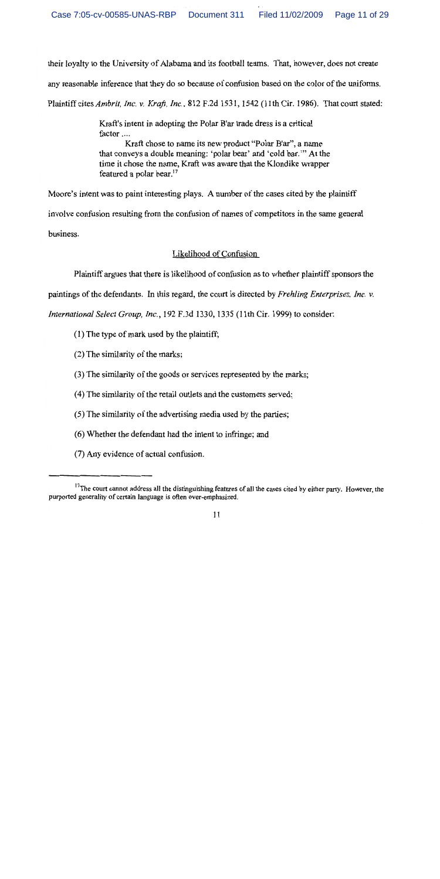their loyalty to the University of Alabama and its football teams. That, however, does not create

any reasonable inference that they do so because of confusion based on the color of the uniforms.

Plaintiff cites Ambrit, Inc. v. Kraft, Inc., 812 F.2d 1531, 1542 (11th Cir. 1986). That court stated:

Kraft's intent in adopting the Polar B'ar trade dress is a critical factor ....

Kraft chose to name its new product "Polar B'ar", a name that conveys a double meaning: 'polar bear' and 'cold bar.'" At the time it chose the name, Kraft was aware that the Klondike wrapper featured a polar bear.<sup>17</sup>

Moore's intent was to paint interesting plays. A number of the cases cited by the plaintiff involve confusion resulting from the confusion of names of competitors in the same general business.

# Likelihood of Confusion

Plaintiff argues that there is likelihood of confusion as to whether plaintiff sponsors the

paintings of the defendants. In this regard, the court is directed by Frehling Enterprises, Inc. v.

International Select Group, Inc., 192 F.3d 1330, 1335 (11th Cir. 1999) to consider:

- (1) The type of mark used by the plaintiff;
- (2) The similarity of the marks;
- (3) The similarity of the goods or services represented by the marks;
- (4) The similarity of the retail outlets and the customers served;
- (5) The similarity of the advertising media used by the parties;
- (6) Whether the defendant had the intent to infringe; and
- (7) Any evidence of actual confusion.

<sup>&</sup>lt;sup>17</sup>The court cannot address all the distinguishing features of all the cases cited by either party. However, the purported generality of certain language is often over-emphasized.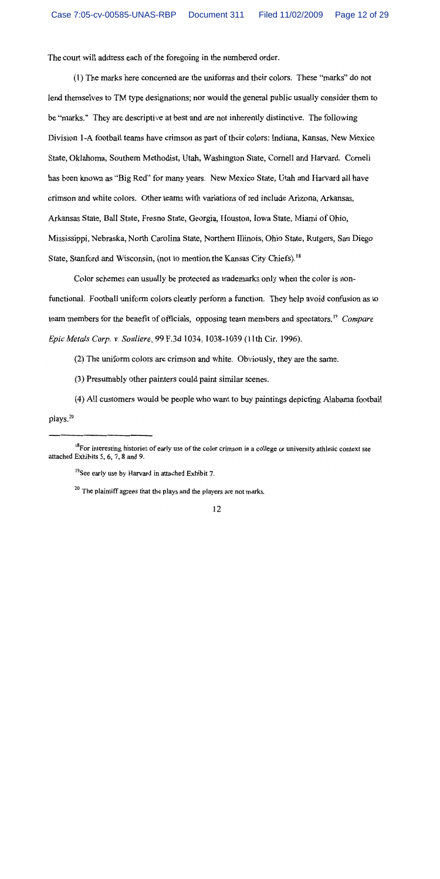The court will address each of the foregoing in the numbered order.

(1) The marks here concerned are the uniforms and their colors. These "marks" do not lend themselves to TM type designations; nor would the general public usually consider them to be "marks." They are descriptive at best and are not inherently distinctive. The following Division 1-A football teams have crimson as part of their colors: Indiana, Kansas, New Mexico State, Oklahoma, Southern Methodist, Utah, Washington State, Cornell and Harvard, Cornell has been known as "Big Red" for many years. New Mexico State, Utah and Harvard all have crimson and white colors. Other teams with variations of red include Arizona, Arkansas, Arkansas State, Ball State, Fresno State, Georgia, Houston, Iowa State, Miami of Ohio, Mississippi, Nebraska, North Carolina State, Northern Illinois, Ohio State, Rutgers, San Diego State, Stanford and Wisconsin, (not to mention the Kansas City Chiefs).<sup>18</sup>

Color schemes can usually be protected as trademarks only when the color is nonfunctional. Football uniform colors clearly perform a function. They help avoid confusion as to team members for the benefit of officials, opposing team members and spectators.<sup>19</sup> Compare Epic Metals Corp. v. Souliere, 99 F.3d 1034, 1038-1039 (11th Cir. 1996).

(2) The uniform colors are crimson and white. Obviously, they are the same.

(3) Presumably other painters could paint similar scenes.

(4) All customers would be people who want to buy paintings depicting Alabama football plays.<sup>20</sup>

<sup>&</sup>lt;sup>18</sup>For interesting histories of early use of the color crimson in a college or university athletic context see attached Exhibits 5, 6, 7, 8 and 9.

<sup>&</sup>lt;sup>19</sup>See early use by Harvard in attached Exhibit 7.

 $20$  The plaintiff agrees that the plays and the players are not marks.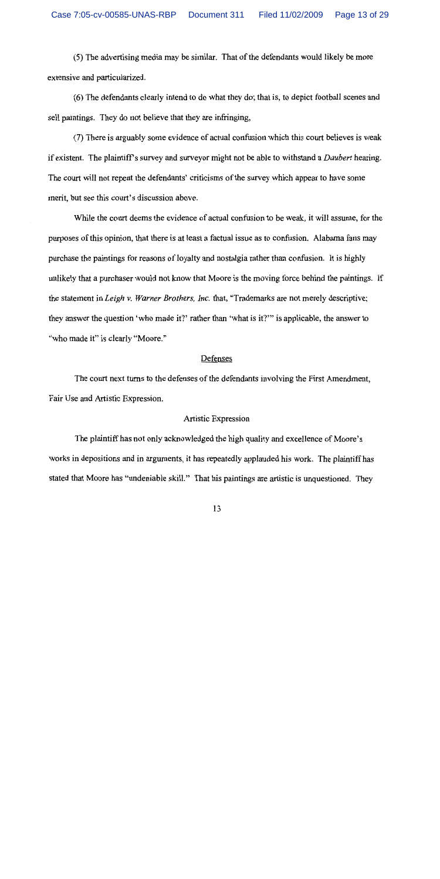(5) The advertising media may be similar. That of the defendants would likely be more extensive and particularized.

(6) The defendants clearly intend to do what they do; that is, to depict football scenes and sell paintings. They do not believe that they are infringing,

(7) There is arguably some evidence of actual confusion which this court believes is weak if existent. The plaintiff's survey and survey might not be able to withstand a *Daubert* hearing. The court will not repeat the defendants' criticisms of the survey which appear to have some merit, but see this court's discussion above.

While the court deems the evidence of actual confusion to be weak, it will assume, for the purposes of this opinion, that there is at least a factual issue as to confusion. Alabama fans may purchase the paintings for reasons of lovalty and nostalgia rather than confusion. It is highly unlikely that a purchaser would not know that Moore is the moving force behind the paintings. If the statement in Leigh v. Warner Brothers, Inc. that, "Trademarks are not merely descriptive; they answer the question 'who made it?' rather than 'what is it?'" is applicable, the answer to "who made it" is clearly "Moore."

#### Defenses

The court next turns to the defenses of the defendants involving the First Amendment, Fair Use and Artistic Expression.

# Artistic Expression

The plaintiff has not only acknowledged the high quality and excellence of Moore's works in depositions and in arguments, it has repeatedly applauded his work. The plaintiff has stated that Moore has "undeniable skill." That his paintings are artistic is unquestioned. They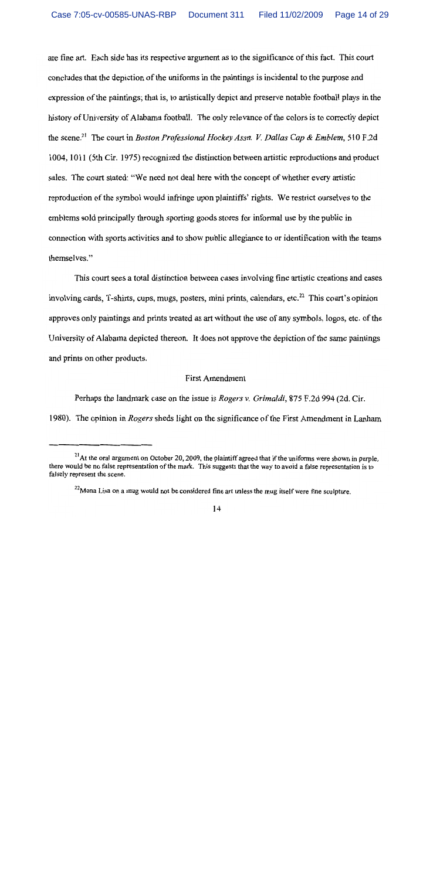are fine art. Each side has its respective argument as to the significance of this fact. This court concludes that the depiction of the uniforms in the paintings is incidental to the purpose and expression of the paintings; that is, to artistically depict and preserve notable football plays in the history of University of Alabama football. The only relevance of the colors is to correctly depict the scene.<sup>21</sup> The court in *Boston Professional Hockey Assn. V. Dallas Cap & Emblem,* 510 F.2d 1004, 1011 (5th Cir. 1975) recognized the distinction between artistic reproductions and product sales. The court stated: "We need not deal here with the concept of whether every artistic reproduction of the symbol would infringe upon plaintiffs' rights. We restrict ourselves to the emblems sold principally through sporting goods stores for informal use by the public in connection with sports activities and to show public allegiance to or identification with the teams themselves."

This court sees a total distinction between cases involving fine artistic creations and cases involving cards, T-shirts, cups, mugs, posters, mini prints, calendars, etc.<sup>22</sup> This court's opinion approves only paintings and prints treated as art without the use of any symbols, logos, etc. of the University of Alabama depicted thereon. It does not approve the depiction of the same paintings and prints on other products.

# **First Amendment**

Perhaps the landmark case on the issue is *Rogers v. Grimaldi*, 875 F.2d 994 (2d. Cir. 1980). The opinion in *Rogers* sheds light on the significance of the First Amendment in Lanham

 $^{21}$ At the oral argument on October 20, 2009, the plaintiff agreed that if the uniforms were shown in purple, there would be no false representation of the mark. This suggests that the way to avoid a false representation is to falsely represent the scene.

<sup>&</sup>lt;sup>22</sup>Mona Lisa on a mug would not be considered fine art unless the mug itself were fine sculpture.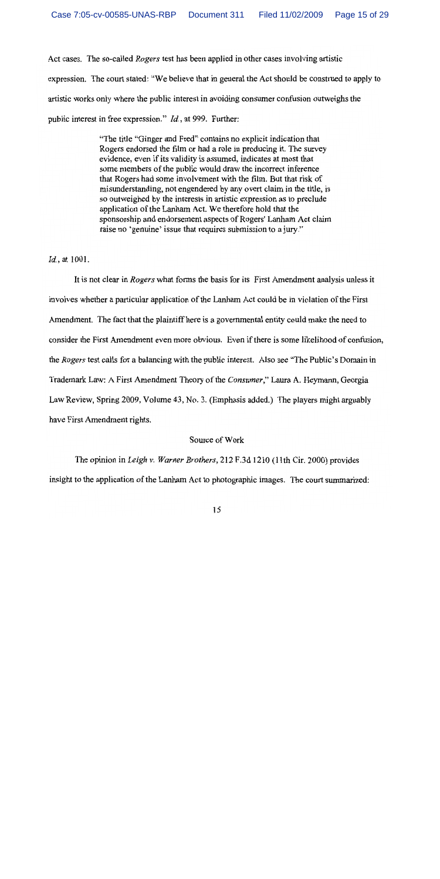Act cases. The so-called *Rogers* test has been applied in other cases involving artistic expression. The court stated: "We believe that in general the Act should be construed to apply to artistic works only where the public interest in avoiding consumer confusion outweighs the public interest in free expression." *Id.*, at 999. Further:

> "The title "Ginger and Fred" contains no explicit indication that Rogers endorsed the film or had a role in producing it. The survey evidence, even if its validity is assumed, indicates at most that some members of the public would draw the incorrect inference that Rogers had some involvement with the film. But that risk of misunderstanding, not engendered by any overt claim in the title, is so outweighed by the interests in artistic expression as to preclude application of the Lanham Act. We therefore hold that the sponsorship and endorsement aspects of Rogers' Lanham Act claim raise no 'genuine' issue that requires submission to a jury."

Id., at 1001.

It is not clear in *Rogers* what forms the basis for its First Amendment analysis unless it involves whether a particular application of the Lanham Act could be in violation of the First Amendment. The fact that the plaintiff here is a governmental entity could make the need to consider the First Amendment even more obvious. Even if there is some likelihood of confusion, the *Rogers* test calls for a balancing with the public interest. Also see "The Public's Domain in Trademark Law: A First Amendment Theory of the Consumer," Laura A. Heymann, Georgia Law Review, Spring 2009, Volume 43, No. 3. (Emphasis added.) The players might arguably have First Amendment rights.

#### Source of Work

The opinion in Leigh v. Warner Brothers, 212 F.3d 1210 (11th Cir. 2000) provides insight to the application of the Lanham Act to photographic images. The court summarized: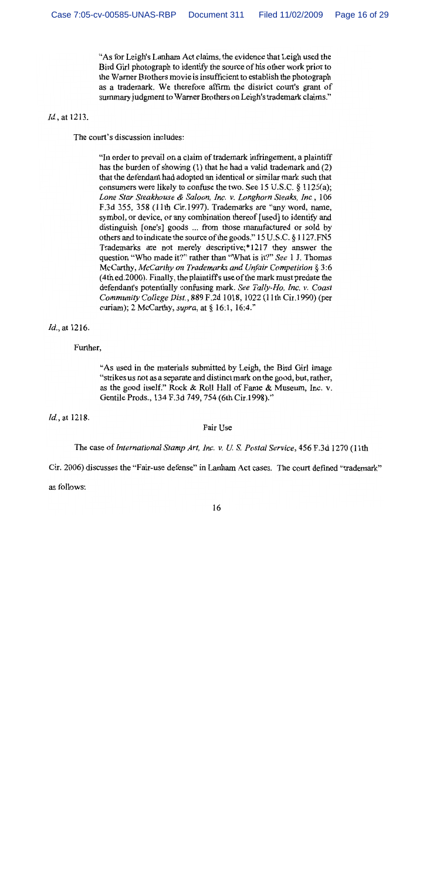"As for Leigh's Lanham Act claims, the evidence that Leigh used the Bird Girl photograph to identify the source of his other work prior to the Warner Brothers movie is insufficient to establish the photograph as a trademark. We therefore affirm the district court's grant of summary judgment to Warner Brothers on Leigh's trademark claims."

# *Id.*, at 1213.

The court's discussion includes:

"In order to prevail on a claim of trademark infringement, a plaintiff has the burden of showing (1) that he had a valid trademark and (2) that the defendant had adopted an identical or similar mark such that consumers were likely to confuse the two. See 15 U.S.C.  $\S$  1125(a); Lone Star Steakhouse & Saloon, Inc. v. Longhorn Steaks, Inc., 106 F.3d 355, 358 (11th Cir.1997). Trademarks are "any word, name, symbol, or device, or any combination thereof [used] to identify and distinguish [one's] goods ... from those manufactured or sold by others and to indicate the source of the goods." 15 U.S.C. § 1127.FN5 Trademarks are not merely descriptive:\*1217 they answer the question "Who made it?" rather than "What is it?" See 1 J. Thomas McCarthy, McCarthy on Trademarks and Unfair Competition § 3:6 (4th ed. 2000). Finally, the plaintiff's use of the mark must predate the defendant's potentially confusing mark. See Tally-Ho, Inc. v. Coast Community College Dist., 889 F.2d 1018, 1022 (11th Cir.1990) (per curiam): 2 McCarthy, supra, at § 16:1, 16:4."

# *Id.*, at 1216.

Further.

"As used in the materials submitted by Leigh, the Bird Girl image "strikes us not as a separate and distinct mark on the good, but, rather, as the good itself." Rock & Roll Hall of Fame & Museum, Inc. v. Gentile Prods., 134 F.3d 749, 754 (6th Cir.1998)."

Id., at 1218.

# Fair Use

The case of International Stamp Art, Inc. v. U. S. Postal Service, 456 F.3d 1270 (11th

Cir. 2006) discusses the "Fair-use defense" in Lanham Act cases. The court defined "trademark"

as follows: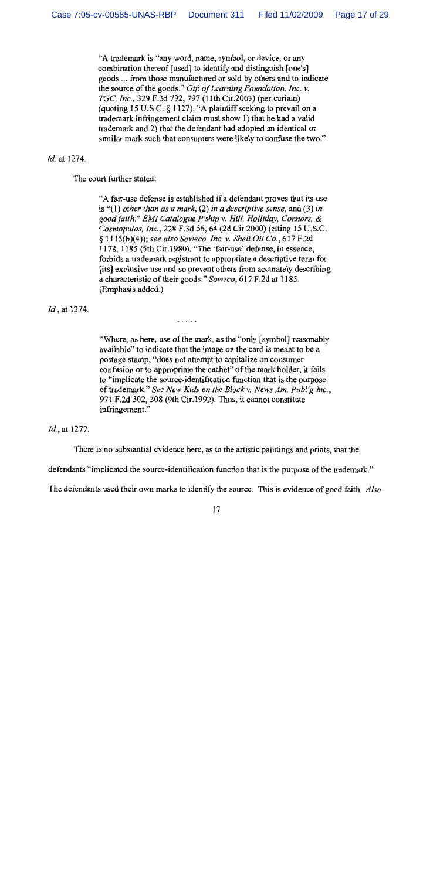"A trademark is "any word, name, symbol, or device, or any combination thereof [used] to identify and distinguish [one's] goods ... from those manufactured or sold by others and to indicate the source of the goods." Gift of Learning Foundation, Inc. v. TGC, Inc., 329 F.3d 792, 797 (11th Cir.2003) (per curiam) (quoting 15 U.S.C. § 1127). "A plaintiff seeking to prevail on a trademark infringement claim must show 1) that he had a valid trademark and 2) that the defendant had adopted an identical or similar mark such that consumers were likely to confuse the two."

#### Id. at 1274.

The court further stated:

"A fair-use defense is established if a defendant proves that its use is "(1) other than as a mark, (2) in a descriptive sense, and (3) in good faith." EMI Catalogue P'ship v. Hill, Holliday, Connors, & Cosmopulos, Inc., 228 F.3d 56, 64 (2d Cir.2000) (citing 15 U.S.C. § 1115(b)(4)); see also Soweco, Inc. v. Shell Oil Co., 617 F.2d 1178, 1185 (5th Cir.1980). "The 'fair-use' defense, in essence, forbids a trademark registrant to appropriate a descriptive term for [its] exclusive use and so prevent others from accurately describing a characteristic of their goods." Soweco, 617 F.2d at 1185. (Emphasis added.)

Id., at 1274.

"Where, as here, use of the mark, as the "only [symbol] reasonably available" to indicate that the image on the card is meant to be a postage stamp, "does not attempt to capitalize on consumer confusion or to appropriate the cachet" of the mark holder, it fails to "implicate the source-identification function that is the purpose of trademark." See New Kids on the Block v. News Am. Publ'g Inc., 971 F.2d 302, 308 (9th Cir.1992). Thus, it cannot constitute infringement."

. . . . .

Id., at 1277.

There is no substantial evidence here, as to the artistic paintings and prints, that the

defendants "implicated the source-identification function that is the purpose of the trademark."

The defendants used their own marks to identify the source. This is evidence of good faith. Also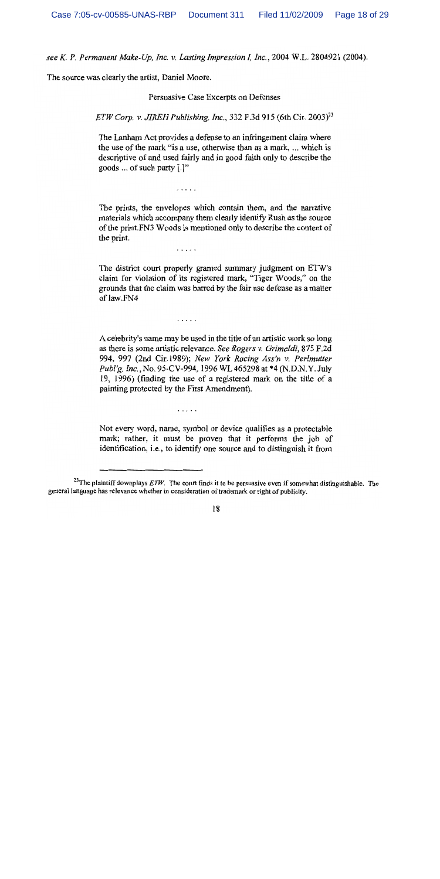see K. P. Permanent Make-Up, Inc. v. Lasting Impression I, Inc., 2004 W.L. 2804921 (2004).

The source was clearly the artist, Daniel Moore.

#### Persuasive Case Excerpts on Defenses

ETW Corp. v. JIREH Publishing. Inc., 332 F.3d 915 (6th Cir. 2003)<sup>23</sup>

The Lanham Act provides a defense to an infringement claim where the use of the mark "is a use, otherwise than as a mark, ... which is descriptive of and used fairly and in good faith only to describe the goods ... of such party [.]"

. . . . .

The prints, the envelopes which contain them, and the narrative materials which accompany them clearly identify Rush as the source of the print. FN3 Woods is mentioned only to describe the content of the print.

. . . . .

The district court properly granted summary judgment on ETW's claim for violation of its registered mark, "Tiger Woods," on the grounds that the claim was barred by the fair use defense as a matter of law.FN4

. . . . .

A celebrity's name may be used in the title of an artistic work so long as there is some artistic relevance. See Rogers v. Grimaldi, 875 F.2d 994, 997 (2nd Cir.1989); New York Racing Ass'n v. Perlmutter Publ'g, Inc., No. 95-CV-994, 1996 WL 465298 at \*4 (N.D.N.Y. July 19, 1996) (finding the use of a registered mark on the title of a painting protected by the First Amendment).

. . . . .

Not every word, name, symbol or device qualifies as a protectable mark; rather, it must be proven that it performs the job of identification, i.e., to identify one source and to distinguish it from

<sup>&</sup>lt;sup>23</sup>The plaintiff downplays  $ETW$ . The court finds it to be persuasive even if somewhat distinguishable. The general language has relevance whether in consideration of trademark or right of publicity.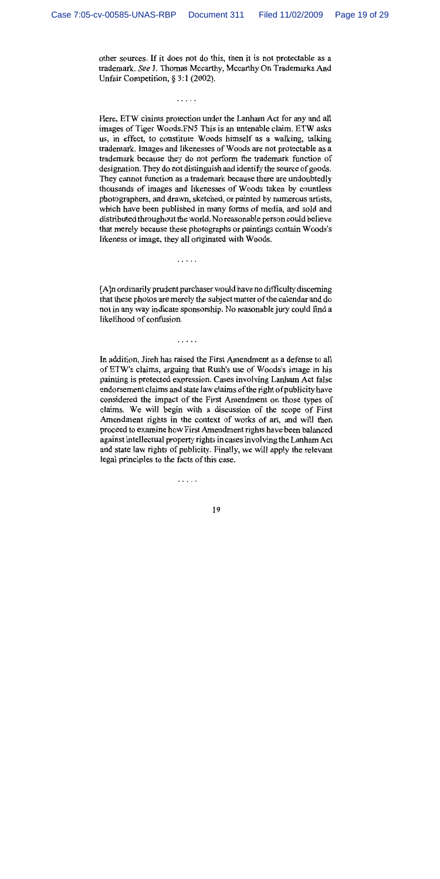other sources. If it does not do this, then it is not protectable as a trademark. See J. Thomas Mccarthy, Mccarthy On Trademarks And Unfair Competition,  $\S 3:1$  (2002).

. . . . .

Here, ETW claims protection under the Lanham Act for any and all images of Tiger Woods. FN5 This is an untenable claim. ETW asks us, in effect, to constitute Woods himself as a walking, talking trademark. Images and likenesses of Woods are not protectable as a trademark because they do not perform the trademark function of designation. They do not distinguish and identify the source of goods. They cannot function as a trademark because there are undoubtedly thousands of images and likenesses of Woods taken by countless photographers, and drawn, sketched, or painted by numerous artists, which have been published in many forms of media, and sold and distributed throughout the world. No reasonable person could believe that merely because these photographs or paintings contain Woods's likeness or image, they all originated with Woods.

. . . . .

[A] n ordinarily prudent purchaser would have no difficulty discerning that these photos are merely the subject matter of the calendar and do not in any way indicate sponsorship. No reasonable jury could find a likelihood of confusion.

 $. . . . .$ 

In addition, Jireh has raised the First Amendment as a defense to all of ETW's claims, arguing that Rush's use of Woods's image in his painting is protected expression. Cases involving Lanham Act false endorsement claims and state law claims of the right of publicity have considered the impact of the First Amendment on those types of claims. We will begin with a discussion of the scope of First Amendment rights in the context of works of art, and will then proceed to examine how First Amendment rights have been balanced against intellectual property rights in cases involving the Lanham Act and state law rights of publicity. Finally, we will apply the relevant legal principles to the facts of this case.

. . . . .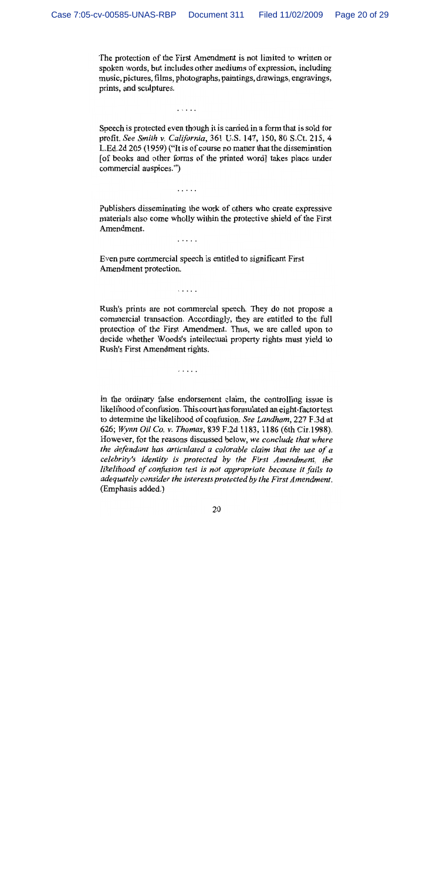The protection of the First Amendment is not limited to written or spoken words, but includes other mediums of expression, including music, pictures, films, photographs, paintings, drawings, engravings, prints, and sculptures.

. . . . .

Speech is protected even though it is carried in a form that is sold for profit. See Smith v. California, 361 U.S. 147, 150, 80 S.Ct. 215, 4 L.Ed.2d 205 (1959) ("It is of course no matter that the dissemination [of books and other forms of the printed word] takes place under commercial auspices.")

. . . . .

Publishers disseminating the work of others who create expressive materials also come wholly within the protective shield of the First Amendment.

. . . . .

Even pure commercial speech is entitled to significant First Amendment protection.

. . . . .

Rush's prints are not commercial speech. They do not propose a commercial transaction. Accordingly, they are entitled to the full protection of the First Amendment. Thus, we are called upon to decide whether Woods's intellectual property rights must yield to Rush's First Amendment rights.

. . . . .

In the ordinary false endorsement claim, the controlling issue is likelihood of confusion. This court has formulated an eight-factor test to determine the likelihood of confusion. See Landham, 227 F.3d at 626; Wynn Oil Co. v. Thomas, 839 F.2d 1183, 1186 (6th Cir.1988). However, for the reasons discussed below, we conclude that where the defendant has articulated a colorable claim that the use of a celebrity's identity is protected by the First Amendment, the likelihood of confusion test is not appropriate because it fails to adequately consider the interests protected by the First Amendment. (Emphasis added.)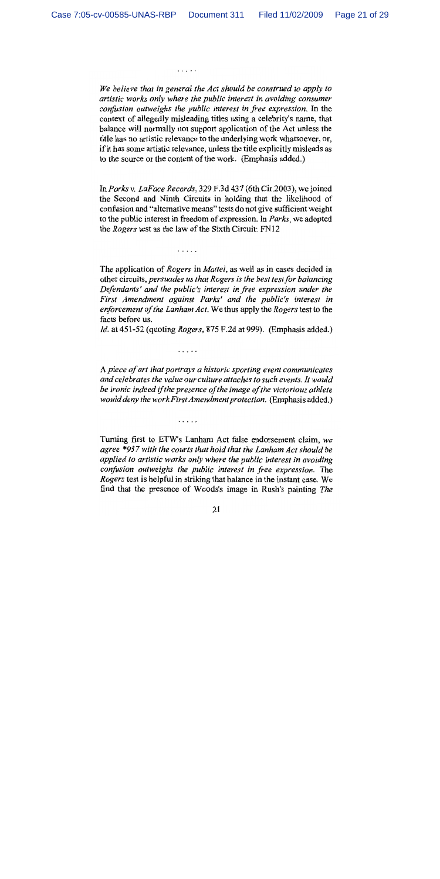We believe that in general the Act should be construed to apply to artistic works only where the public interest in avoiding consumer confusion outweighs the public interest in free expression. In the context of allegedly misleading titles using a celebrity's name, that balance will normally not support application of the Act unless the title has no artistic relevance to the underlying work whatsoever, or, if it has some artistic relevance, unless the title explicitly misleads as to the source or the content of the work. (Emphasis added.)

In Parks v. LaFace Records, 329 F.3d 437 (6th Cir.2003), we joined the Second and Ninth Circuits in holding that the likelihood of confusion and "alternative means" tests do not give sufficient weight to the public interest in freedom of expression. In Parks, we adopted the Rogers test as the law of the Sixth Circuit: FN12

. . . . .

The application of *Rogers* in *Mattel*, as well as in cases decided in other circuits, persuades us that Rogers is the best test for balancing Defendants' and the public's interest in free expression under the First Amendment against Parks' and the public's interest in enforcement of the Lanham Act. We thus apply the Rogers test to the facts before us.

Id. at 451-52 (quoting Rogers, 875 F.2d at 999). (Emphasis added.)

 $\cdots$ 

A piece of art that portrays a historic sporting event communicates and celebrates the value our culture attaches to such events. It would be ironic indeed if the presence of the image of the victorious athlete would deny the work First Amendment protection. (Emphasis added.)

. . . . .

Turning first to ETW's Lanham Act false endorsement claim, we agree \*937 with the courts that hold that the Lanham Act should be applied to artistic works only where the public interest in avoiding confusion outweighs the public interest in free expression. The Rogers test is helpful in striking that balance in the instant case. We find that the presence of Woods's image in Rush's painting The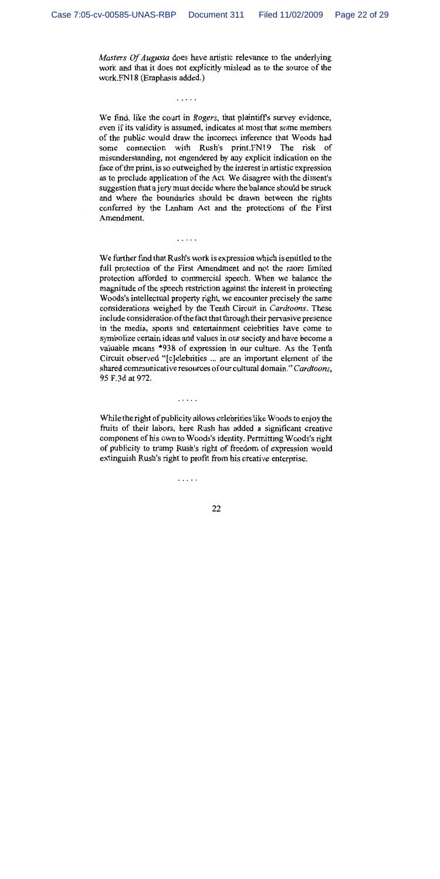Masters Of Augusta does have artistic relevance to the underlying work and that it does not explicitly mislead as to the source of the work.FN18 (Emphasis added.)

. . . . .

 $\cdot$  . . . .

We find, like the court in *Rogers*, that plaintiff's survey evidence, even if its validity is assumed, indicates at most that some members of the public would draw the incorrect inference that Woods had some connection with Rush's print.FN19 The risk of misunderstanding, not engendered by any explicit indication on the face of the print, is so outweighed by the interest in artistic expression as to preclude application of the Act. We disagree with the dissent's suggestion that a jury must decide where the balance should be struck and where the boundaries should be drawn between the rights conferred by the Lanham Act and the protections of the First Amendment.

We further find that Rush's work is expression which is entitled to the full protection of the First Amendment and not the more limited protection afforded to commercial speech. When we balance the magnitude of the speech restriction against the interest in protecting Woods's intellectual property right, we encounter precisely the same considerations weighed by the Tenth Circuit in Cardtoons. These include consideration of the fact that through their pervasive presence in the media, sports and entertainment celebrities have come to symbolize certain ideas and values in our society and have become a valuable means \*938 of expression in our culture. As the Tenth Circuit observed "[c]elebrities ... are an important element of the shared communicative resources of our cultural domain." Cardtoons, 95 F.3d at 972.

While the right of publicity allows celebrities like Woods to enjoy the fruits of their labors, here Rush has added a significant creative component of his own to Woods's identity. Permitting Woods's right of publicity to trump Rush's right of freedom of expression would extinguish Rush's right to profit from his creative enterprise.

 $\ldots$  .

 $\cdots$  . . .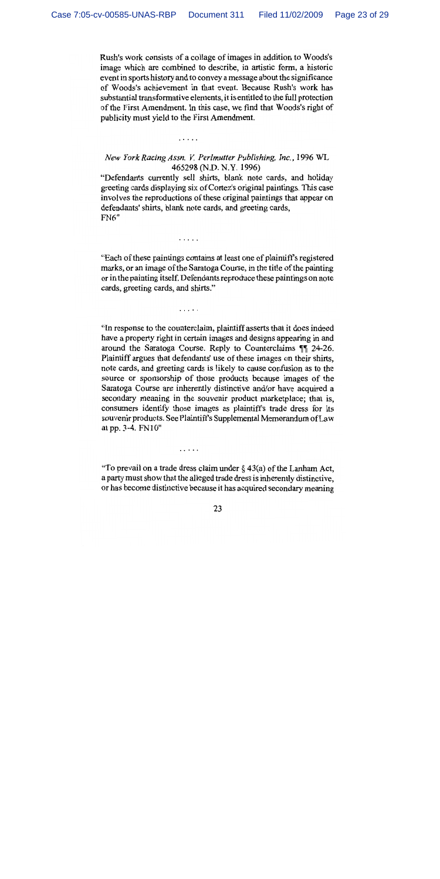Rush's work consists of a collage of images in addition to Woods's image which are combined to describe, in artistic form, a historic event in sports history and to convey a message about the significance of Woods's achievement in that event. Because Rush's work has substantial transformative elements, it is entitled to the full protection of the First Amendment. In this case, we find that Woods's right of publicity must vield to the First Amendment.

. . . . .

### New York Racing Assn. V. Perlmutter Publishing, Inc., 1996 WL 465298 (N.D. N.Y. 1996)

"Defendants currently sell shirts, blank note cards, and holiday greeting cards displaying six of Cortez's original paintings. This case involves the reproductions of these original paintings that appear on defendants' shirts, blank note cards, and greeting cards, **FN6"** 

. . . . .

"Each of these paintings contains at least one of plaintiff's registered marks, or an image of the Saratoga Course, in the title of the painting or in the painting itself. Defendants reproduce these paintings on note cards, greeting cards, and shirts."

 $\cdot$  . . . .

"In response to the counterclaim, plaintiff asserts that it does indeed have a property right in certain images and designs appearing in and around the Saratoga Course. Reply to Counterclaims To 24-26. Plaintiff argues that defendants' use of these images on their shirts, note cards, and greeting cards is likely to cause confusion as to the source or sponsorship of those products because images of the Saratoga Course are inherently distinctive and/or have acquired a secondary meaning in the souvenir product marketplace; that is, consumers identify those images as plaintiff's trade dress for its souvenir products. See Plaintiff's Supplemental Memorandum of Law at pp. 3-4. FN10"

. . . . .

"To prevail on a trade dress claim under  $\S$  43(a) of the Lanham Act, a party must show that the alleged trade dress is inherently distinctive. or has become distinctive because it has acquired secondary meaning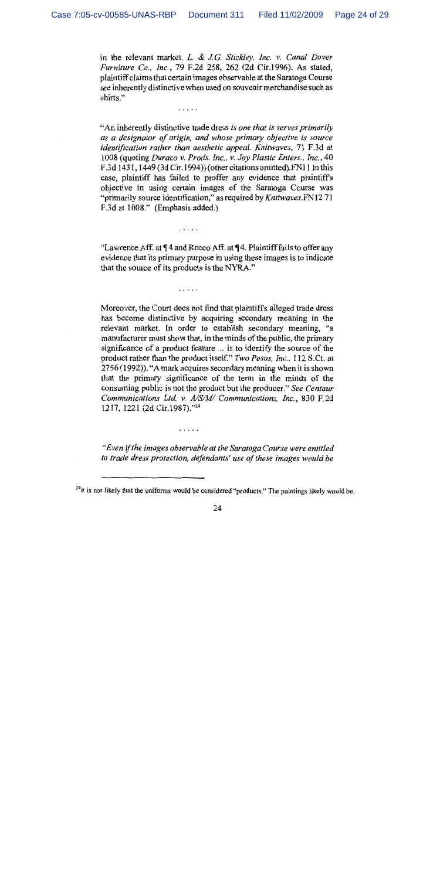in the relevant market. L. & J.G. Stickley, Inc. v. Canal Dover Furniture Co., Inc., 79 F.2d 258, 262 (2d Cir.1996). As stated, plaintiff claims that certain images observable at the Saratoga Course are inherently distinctive when used on souvenir merchandise such as shirts."

 $\cdot$  . . . .

"An inherently distinctive trade dress is one that is serves primarily as a designator of origin, and whose primary objective is source identification rather than aesthetic appeal. Knitwaves, 71 F.3d at 1008 (quoting Duraco v. Prods. Inc., v. Joy Plastic Enters., Inc., 40 F.3d 1431, 1449 (3d Cir.1994)) (other citations omitted). FN11 In this case, plaintiff has failed to proffer any evidence that plaintiff's objective in using certain images of the Saratoga Course was "primarily source identification," as required by Knitwaves.FN1271 F.3d at 1008." (Emphasis added.)

 $. . . . .$ 

"Lawrence Aff. at ¶4 and Rocco Aff. at ¶4. Plaintiff fails to offer any evidence that its primary purpose in using these images is to indicate that the source of its products is the NYRA."

 $\cdot$  . . . .

 $\cdot$  . . . .

Moreover, the Court does not find that plaintiff's alleged trade dress has become distinctive by acquiring secondary meaning in the relevant market. In order to establish secondary meaning, "a manufacturer must show that, in the minds of the public, the primary significance of a product feature ... is to identify the source of the product rather than the product itself." Two Pesos, Inc., 112 S.Ct. at 2756 (1992)). "A mark acquires secondary meaning when it is shown that the primary significance of the term in the minds of the consuming public is not the product but the producer." See Centaur Communications Ltd. v. A/S/M/ Communications, Inc., 830 F.2d 1217, 1221 (2d Cir.1987)."24

"Even if the images observable at the Saratoga Course were entitled to trade dress protection, defendants' use of these images would be

 $^{24}$ It is not likely that the uniforms would be considered "products." The paintings likely would be.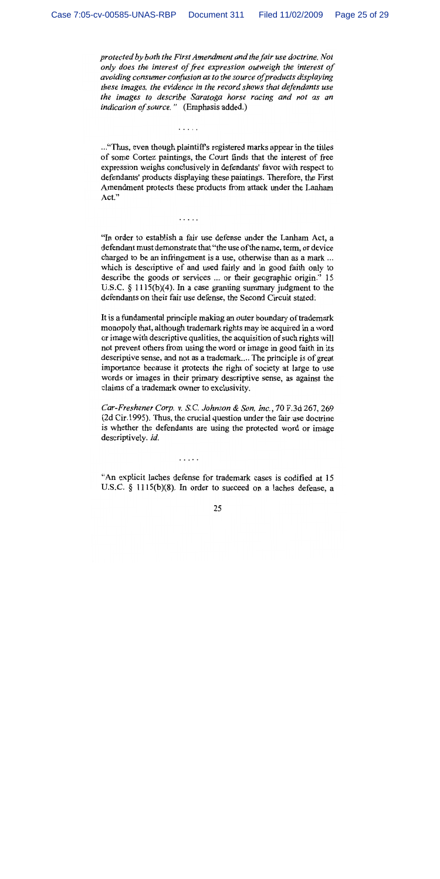protected by both the First Amendment and the fair use doctrine. Not only does the interest of free expression outweigh the interest of avoiding consumer confusion as to the source of products displaying these images, the evidence in the record shows that defendants use the images to describe Saratoga horse racing and not as an indication of source." (Emphasis added.)

. . . . .

... "Thus, even though plaintiff's registered marks appear in the titles of some Cortez paintings, the Court finds that the interest of free expression weighs conclusively in defendants' favor with respect to defendants' products displaying these paintings. Therefore, the First Amendment protects these products from attack under the Lanham Act."

. . . . .

"In order to establish a fair use defense under the Lanham Act, a defendant must demonstrate that "the use of the name, term, or device charged to be an infringement is a use, otherwise than as a mark ... which is descriptive of and used fairly and in good faith only to describe the goods or services ... or their geographic origin." 15 U.S.C.  $\S$  1115(b)(4). In a case granting summary judgment to the defendants on their fair use defense, the Second Circuit stated:

It is a fundamental principle making an outer boundary of trademark monopoly that, although trademark rights may be acquired in a word or image with descriptive qualities, the acquisition of such rights will not prevent others from using the word or image in good faith in its descriptive sense, and not as a trademark.... The principle is of great importance because it protects the right of society at large to use words or images in their primary descriptive sense, as against the claims of a trademark owner to exclusivity.

Car-Freshener Corp. v. S.C. Johnson & Son, Inc., 70 F.3d 267, 269 (2d Cir.1995). Thus, the crucial question under the fair use doctrine is whether the defendants are using the protected word or image descriptively. Id.

. . . . .

"An explicit laches defense for trademark cases is codified at 15 U.S.C. § 1115(b)(8). In order to succeed on a laches defense, a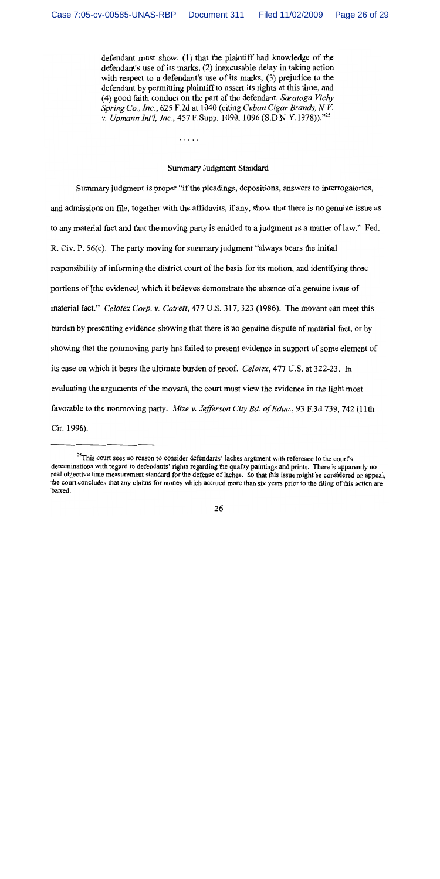defendant must show: (1) that the plaintiff had knowledge of the defendant's use of its marks, (2) inexcusable delay in taking action with respect to a defendant's use of its marks, (3) prejudice to the defendant by permitting plaintiff to assert its rights at this time, and (4) good faith conduct on the part of the defendant. Saratoga Vichy Spring Co., Inc., 625 F.2d at 1040 (citing Cuban Cigar Brands, N.V. v. Upmann Int'l, Inc., 457 F.Supp. 1090, 1096 (S.D.N.Y.1978))."25

. . . . .

#### Summary Judgment Standard

Summary judgment is proper "if the pleadings, depositions, answers to interrogatories, and admissions on file, together with the affidavits, if any, show that there is no genuine issue as to any material fact and that the moving party is entitled to a judgment as a matter of law." Fed. R. Civ. P. 56(c). The party moving for summary judgment "always bears the initial responsibility of informing the district court of the basis for its motion, and identifying those portions of [the evidence] which it believes demonstrate the absence of a genuine issue of material fact." Celotex Corp. v. Catrett, 477 U.S. 317, 323 (1986). The movant can meet this burden by presenting evidence showing that there is no genuine dispute of material fact, or by showing that the nonmoving party has failed to present evidence in support of some element of its case on which it bears the ultimate burden of proof. Celotex, 477 U.S. at 322-23. In evaluating the arguments of the movant, the court must view the evidence in the light most favorable to the nonmoving party. Mize v. Jefferson City Bd. of Educ., 93 F.3d 739, 742 (11th Cir. 1996).

<sup>&</sup>lt;sup>25</sup>This court sees no reason to consider defendants' laches argument with reference to the court's determinations with regard to defendants' rights regarding the quality paintings and prints. There is apparently no real objective time measurement standard for the defense of laches. So that this issue might be considered on appeal, the court concludes that any claims for money which accrued more than six years prior to the filing of this action are barred.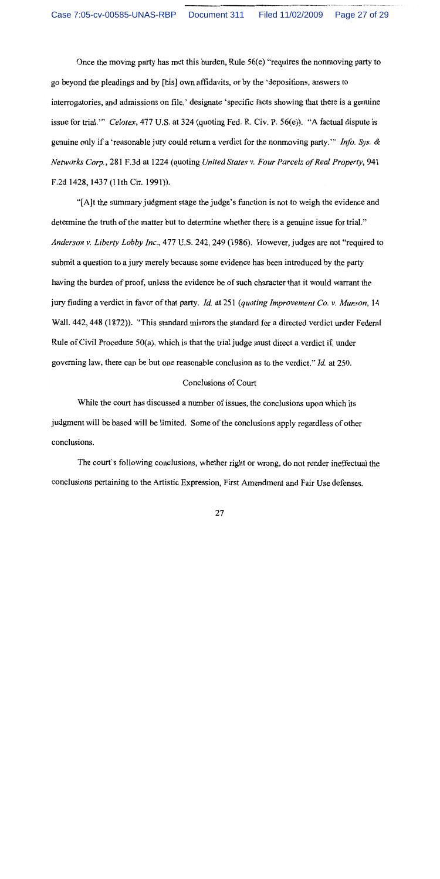Once the moving party has met this burden, Rule  $56(e)$  "requires the nonmoving party to go beyond the pleadings and by [his] own affidavits, or by the 'depositions, answers to interrogatories, and admissions on file,' designate 'specific facts showing that there is a genuine issue for trial." Celotex, 477 U.S. at 324 (quoting Fed. R. Civ. P. 56(e)). "A factual dispute is genuine only if a 'reasonable jury could return a verdict for the nonmoving party." Info. Sys.  $\&$ Networks Corp., 281 F.3d at 1224 (quoting United States v. Four Parcels of Real Property, 941 F.2d 1428, 1437 (11th Cir. 1991)).

"[Alt the summary judgment stage the judge's function is not to weigh the evidence and determine the truth of the matter but to determine whether there is a genuine issue for trial." Anderson v. Liberty Lobby Inc., 477 U.S. 242, 249 (1986). However, judges are not "required to submit a question to a jury merely because some evidence has been introduced by the party having the burden of proof, unless the evidence be of such character that it would warrant the jury finding a verdict in favor of that party. *Id.* at 251 (quoting Improvement Co. v. Munson, 14 Wall. 442, 448 (1872)). "This standard mirrors the standard for a directed verdict under Federal Rule of Civil Procedure 50(a), which is that the trial judge must direct a verdict if, under governing law, there can be but one reasonable conclusion as to the verdict." Id. at 250.

## **Conclusions of Court**

While the court has discussed a number of issues, the conclusions upon which its judgment will be based will be limited. Some of the conclusions apply regardless of other conclusions.

The court's following conclusions, whether right or wrong, do not render ineffectual the conclusions pertaining to the Artistic Expression, First Amendment and Fair Use defenses.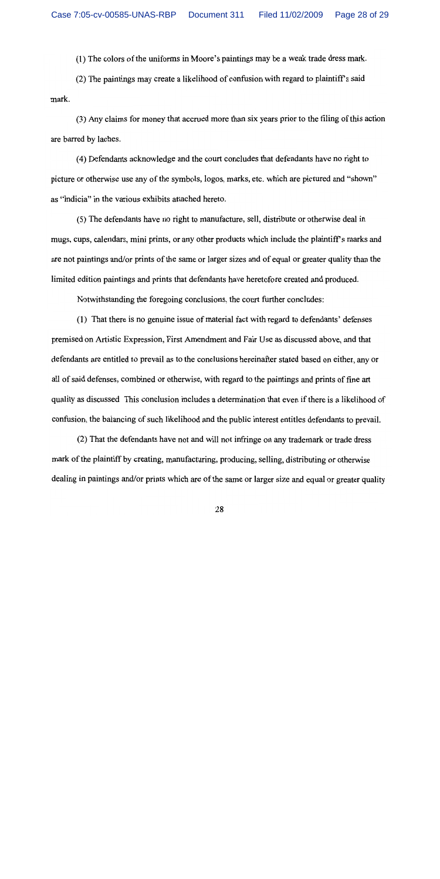(1) The colors of the uniforms in Moore's paintings may be a weak trade dress mark.

(2) The paintings may create a likelihood of confusion with regard to plaintiff's said mark.

(3) Any claims for money that accrued more than six years prior to the filing of this action are barred by laches.

(4) Defendants acknowledge and the court concludes that defendants have no right to picture or otherwise use any of the symbols, logos, marks, etc. which are pictured and "shown" as "Indicia" in the various exhibits attached hereto.

(5) The defendants have no right to manufacture, sell, distribute or otherwise deal in mugs, cups, calendars, mini prints, or any other products which include the plaintiff's marks and are not paintings and/or prints of the same or larger sizes and of equal or greater quality than the limited edition paintings and prints that defendants have heretofore created and produced.

Notwithstanding the foregoing conclusions, the court further concludes:

(1) That there is no genuine issue of material fact with regard to defendants' defenses premised on Artistic Expression, First Amendment and Fair Use as discussed above, and that defendants are entitled to prevail as to the conclusions hereinafter stated based on either, any or all of said defenses, combined or otherwise, with regard to the paintings and prints of fine art quality as discussed This conclusion includes a determination that even if there is a likelihood of confusion, the balancing of such likelihood and the public interest entitles defendants to prevail.

(2) That the defendants have not and will not infringe on any trademark or trade dress mark of the plaintiff by creating, manufacturing, producing, selling, distributing or otherwise dealing in paintings and/or prints which are of the same or larger size and equal or greater quality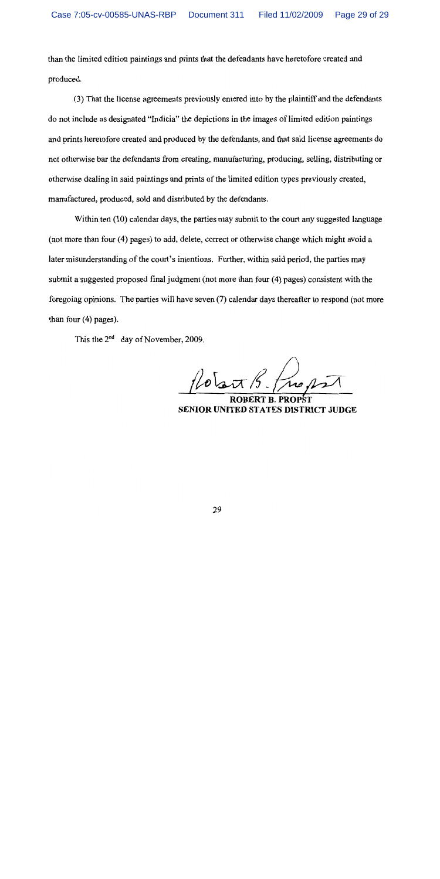than the limited edition paintings and prints that the defendants have heretofore created and produced.

(3) That the license agreements previously entered into by the plaintiff and the defendants do not include as designated "Indicia" the depictions in the images of limited edition paintings and prints heretofore created and produced by the defendants, and that said license agreements do not otherwise bar the defendants from creating, manufacturing, producing, selling, distributing or otherwise dealing in said paintings and prints of the limited edition types previously created, manufactured, produced, sold and distributed by the defendants.

Within ten (10) calendar days, the parties may submit to the court any suggested language (not more than four (4) pages) to add, delete, correct or otherwise change which might avoid a later misunderstanding of the court's intentions. Further, within said period, the parties may submit a suggested proposed final judgment (not more than four (4) pages) consistent with the foregoing opinions. The parties will have seven (7) calendar days thereafter to respond (not more than four  $(4)$  pages).

This the  $2^{nd}$  day of November, 2009.

Robert B. Fresh

**SENIOR UNITED STATES DISTRICT JUDGE**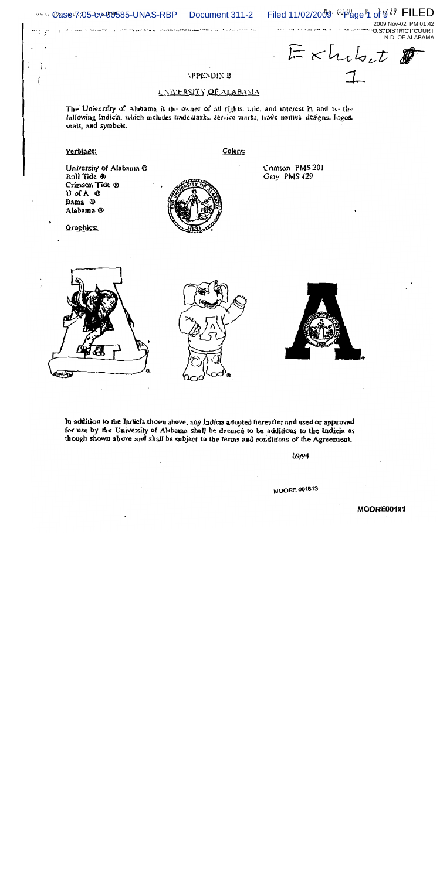$V$ .  $C$ ase  $V$ ?05-cv-00585-UNAS-RBP Document 311-2 Filed 11/02/2009  $V$ 84 Page  $V$ 1 of  $/9$ <sup>29</sup>

FILED

 $E$  x hubit

 2009 Nov-02 PM 01:42 U.S. DISTRICT COURT N.D. OF ALABAMA

#### **APPENDIX B**

.<br>2008 - Sharp et al Sara e de la familie de la Sara de La Caracteria et al Sara de La Sara de La Sara de La Sar

#### LAIVERSITY OF ALABAMA

The University of Alabama is the owner of all rights, thie, and interest in and to the following Indicia, which meludes trademarks, service marks, trade names, designs. logos, seals, and symbols.

**Verbjage:** 

Colors:

Crimson PMS 201 Gray PMS 429

University of Alabama ® Roll Tide ® Crimson Tide ® U of A ® Bama ® Alabama ®



# **Graphics:**







In addition to the Indicia shown above, any Indicia adopted hereafter and used or approved for use by the University of Alabama shall be deemed to be additions to the Indicia as though shown above and shall be subject to the terms and conditions of the Agreement.

09/94

**MOORE 001813** 

**MOORE00181**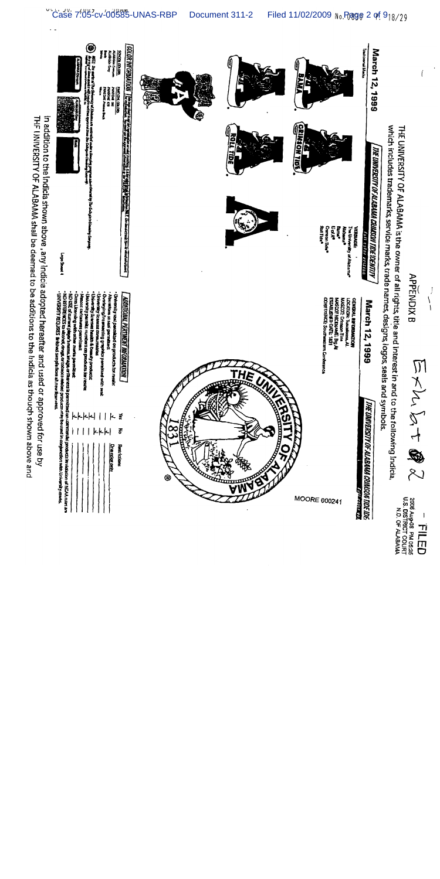

ັບ. ບູບ. 2002<br>Case 7:05-cv-00585-UNAS-RBP Document 311-2 Filed 11/02/2009 Nα.R**age 2 o**f 9<sub>18</sub>/29

 $\begin{pmatrix} 1 \\ 1 \end{pmatrix}$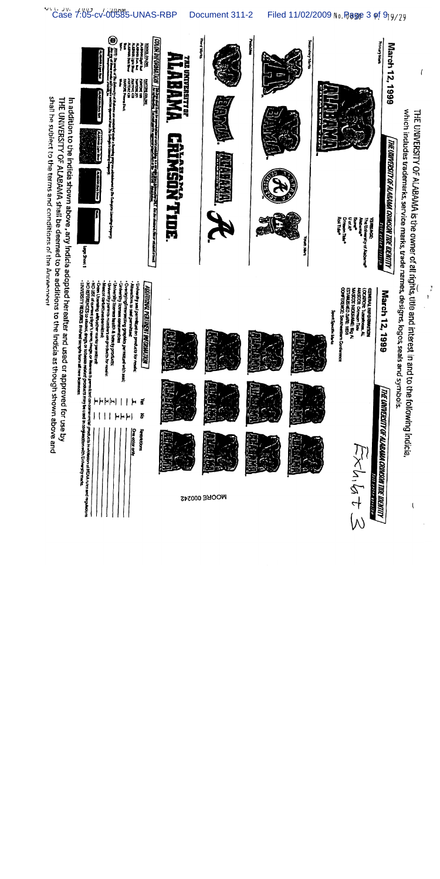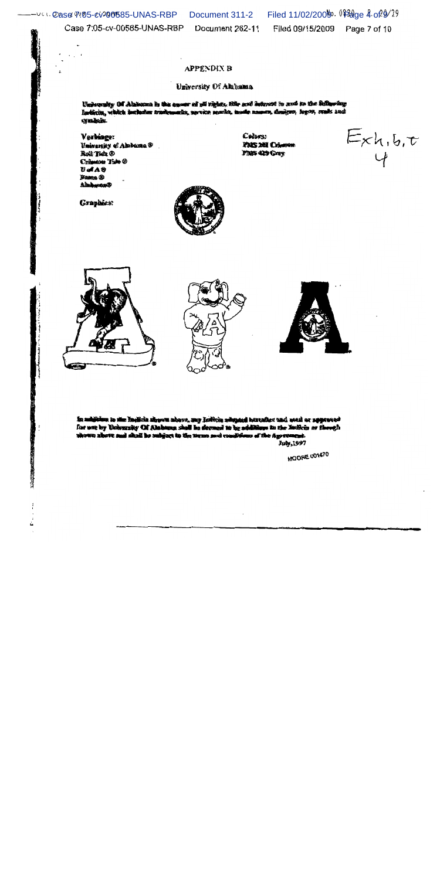-vแบ**@aseW05-cv200585-UNAS-RBP** 

Document 311-2

Case 7:05-cv-00585-UNAS-RBP

Document 262-11

Filed 11/02/200 % 0 \$2 ge 4 of 9/29 Filed 09/15/2009 Page 7 of 10

#### **APPENDIX B**

# University Of Alabama

University Of Alahoma is the owner of all rights, this and interest to and to the influency lapticity, which includes trademants, service marks, made names, designe, legos, sunk and symbols.

Verbiage: University of Alabama ® **Boll Tisk** <sup>®</sup> Crimeton Tide ® **U**atA® Bama ® **Alubema@** 

Graphics:



Colors: **This Mil Crimon** FIRSS 4259 Given

 $E$  $xh,b,\tau$ 







In addition to the Indicia shown above, my Indicia adopted hereafter and used or approved for use by University Of Alabama shall be dermed to be additions to the Indicia as though shown above sual shall be subject to the torus and conditions of the Agreement. July, 1997

**MOORE 001470**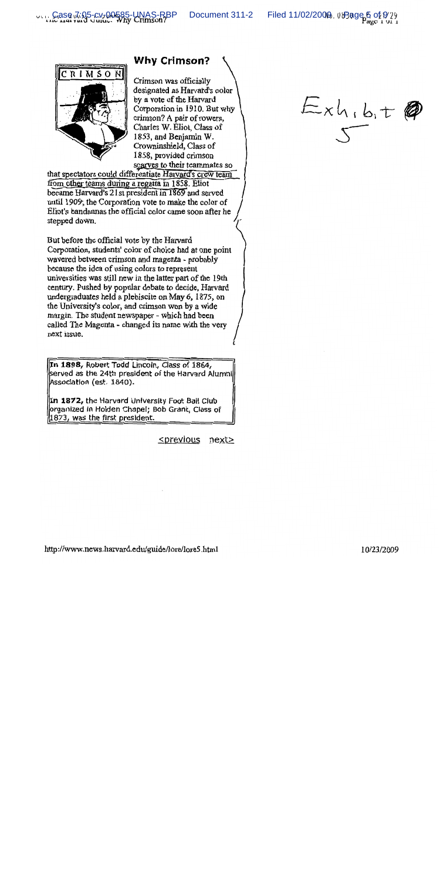. Case 7:05-cv-00585-UNAS-RBP Document 311-2 Filed 11/02/2009 UBage 5 of 9.29



# **Why Crimson?**

Crimson was officially designated as Harvard's color by a vote of the Harvard Corporation in 1910. But why crimson? A pair of rowers, Charles W. Eliot, Class of 1853, and Benjamin W. Crowninshield, Class of 1858, provided crimson scarves to their teammates so

that spectators could differentiate Harvard's crew team from other teams during a regatta in 1858. Eliot became Harvard's 21st president in 1869 and served until 1909; the Corporation vote to make the color of Eliot's bandannas the official color came soon after he stepped down.

But before the official vote by the Harvard Corporation, students' color of choice had at one point wavered between crimson and magenta - probably because the idea of using colors to represent universities was still new in the latter part of the 19th century. Pushed by popular debate to decide. Harvard undergraduates held a plebiscite on May 6, 1875, on the University's color, and crimson won by a wide margin. The student newspaper - which had been called The Magenta - changed its name with the very next issue.

In 1898, Robert Todd Lincoln, Class of 1864, served as the 24th president of the Harvard Alumni Association (est. 1840).

In 1872, the Harvard University Foot Ball Club organized in Holden Chapel; Bob Grant, Class of 1873, was the first president.

<previous next>

 $Exh, b, t$ 

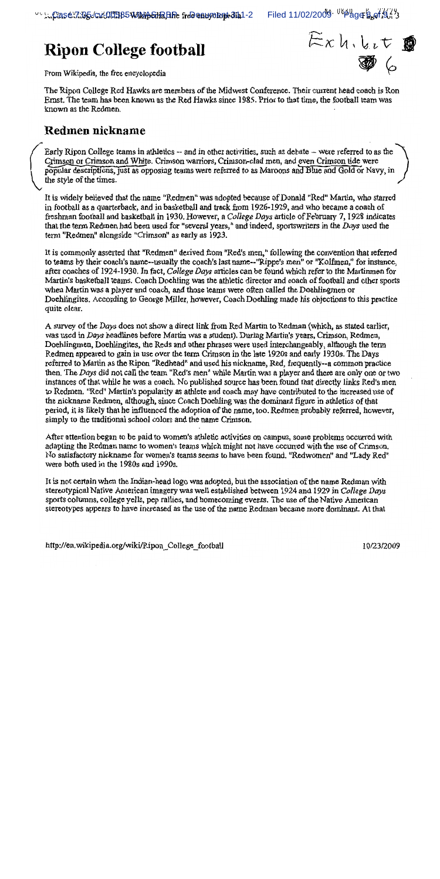": :: Clase 7:05-GV-004585 Wikipedia BR free convoleme 3in 1-2

Filed 11/02/2009  $^{08}$   $^{18}$  age bef 4.4.23

# **Ripon College football**

 $Exh.b.t$ 

From Wikipedia, the free encyclopedia

The Ripon College Red Hawks are members of the Midwest Conference. Their current head coach is Ron Ernst. The team has been known as the Red Hawks since 1985. Prior to that time, the football team was known as the Redmen.

# Redmen nickname

Early Ripon College teams in athletics -- and in other activities, such as debate -- were referred to as the Crimson or Crimson and White. Crimson warriors, Crimson-clad men, and even Crimson tide were popular descriptions, just as opposing teams were referred to as Maroons and Blue and Gold or Navy, in the style of the times.

It is widely believed that the name "Redmen" was adopted because of Donald "Red" Martin, who starred in football as a quarterback, and in basketball and track from 1926-1929, and who became a coach of freshman football and basketball in 1930. However, a College Days article of February 7, 1928 indicates that the term Redmen had been used for "several years," and indeed, sportswriters in the Days used the term "Redmen" alongside "Crimson" as early as 1923.

It is commonly asserted that "Redmen" derived from "Red's men," following the convention that referred to teams by their coach's name--usually the coach's last name--"Rippe's men" or "Kolfmen," for instance, after coaches of 1924-1930. In fact, College Days articles can be found which refer to the Martinmen for Martin's basketball teams. Coach Dochling was the athletic director and coach of football and other sports when Martin was a player and coach, and those teams were often called the Doehlingmen or Doehlingites. According to George Miller, however, Coach Doehling made his objections to this practice quite clear.

A survey of the Days does not show a direct link from Red Martin to Redman (which, as stated earlier, was used in Days headlines before Martin was a student). During Martin's vears, Crimson, Redmen, Doehlingmen, Doehlingites, the Reds and other phrases were used interchangeably, although the term Redmen appeared to gain in use over the term Crimson in the late 1920s and early 1930s. The Days referred to Martin as the Ripon "Redhead" and used his nickname, Red, frequently--a common practice then. The Days did not call the team "Red's men" while Martin was a player and there are only one or two instances of that while he was a coach. No published source has been found that directly links Red's men to Redmen. "Red" Martin's popularity as athlete and coach may have contributed to the increased use of the nickname Redmen, although, since Coach Doehling was the dominant figure in athletics of that period, it is likely that he influenced the adoption of the name, too. Redmen probably referred, however, simply to the traditional school colors and the name Crimson.

After attention began to be paid to women's athletic activities on campus, some problems occurred with adapting the Redman name to women's teams which might not have occurred with the use of Crimson. No satisfactory nickname for women's teams seems to have been found. "Redwomen" and "Lady Red" were both used in the 1980s and 1990s.

It is not certain when the Indian-head logo was adopted, but the association of the name Redman with stereotypical Native American imagery was well established between 1924 and 1929 in College Days sports columns, college yells, pep rallies, and homecoming events. The use of the Native American stereotypes appears to have increased as the use of the name Redman became more dominant. At that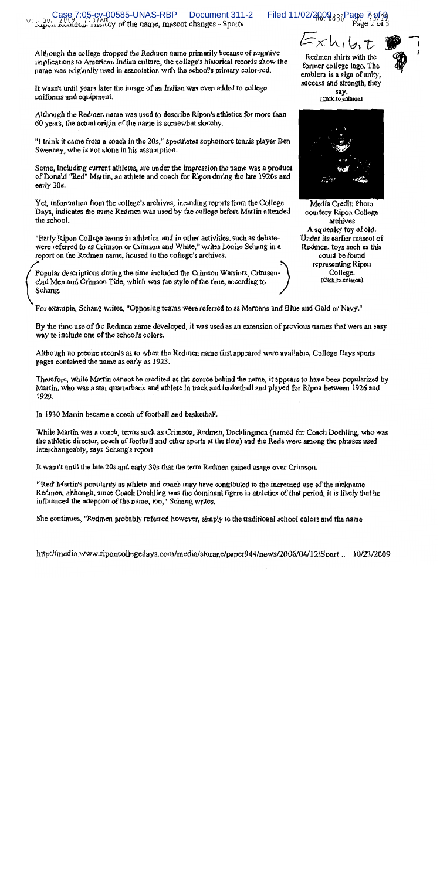Although the college dropped the Redmen name primarily because of negative implications to American Indian culture, the college's historical records show the name was originally used in association with the school's primary color-red.

It wasn't until years later the image of an Indian was even added to college uniforms and equipment.

Although the Redmen name was used to describe Ripon's athletics for more than 60 years, the actual origin of the name is somewhat sketchy.

"I think it came from a coach in the 20s," speculates sophomore tennis player Ben Sweeney, who is not alone in his assumption.

Some, including current athletes, are under the impression the name was a product of Donald "Red" Martin, an athlete and coach for Ripon during the late 1920s and early 30s.

Yet, information from the college's archives, including reports from the College Days, indicates the name Redmen was used by the college before Martin attended the school.

"Early Ripon College teams in athletics-and in other activities, such as debatewere referred to as Crimson or Crimson and White," writes Louise Schang in a report on the Redmen name, housed in the college's archives.

Popular descriptions during the time included the Crimson Warriors, Crimsonclad Men and Crimson Tide, which was the style of the time, according to Schang.

For example, Schang writes, "Opposing teams were referred to as Maroons and Blue and Gold or Navy."

By the time use of the Redmen name developed, it was used as an extension of previous names that were an easy way to include one of the school's colors.

Although no precise records as to when the Redmen name first appeared were available, College Days sports pages contained the name as early as 1923.

Therefore, while Martin cannot be credited as the source behind the name, it appears to have been popularized by Martin, who was a star quarterback and athlete in track and basketball and played for Ripon between 1926 and 1929.

In 1930 Martin became a coach of football and basketball.

While Martin was a coach, terms such as Crimson, Redmen, Doehlingmen (named for Coach Doehling, who was the athletic director, coach of football and other sports at the time) and the Reds were among the phrases used interchangeably, says Schang's report.

It wasn't until the late 20s and early 30s that the term Redmen gained usage over Crimson.

"Red' Martin's popularity as athlete and coach may have contributed to the increased use of the nickname Redmen, although, since Coach Doehling was the dominant figure in athletics of that period, it is likely that he influenced the adoption of the name, too," Schang writes.

She continues, "Redmen probably referred however, simply to the traditional school colors and the name

# Filed 11/02/2009830Page 739f29





Redmen shirts with the former college logo. The emblem is a sign of unity, success and strength, they sav. [Click to enlarge]



Media Credit: Photo courtesy Ripon College archives A squeaky toy of old. Under its earlier mascot of Redmen, toys such as this could be found representing Ripon College. [Click to enlarge]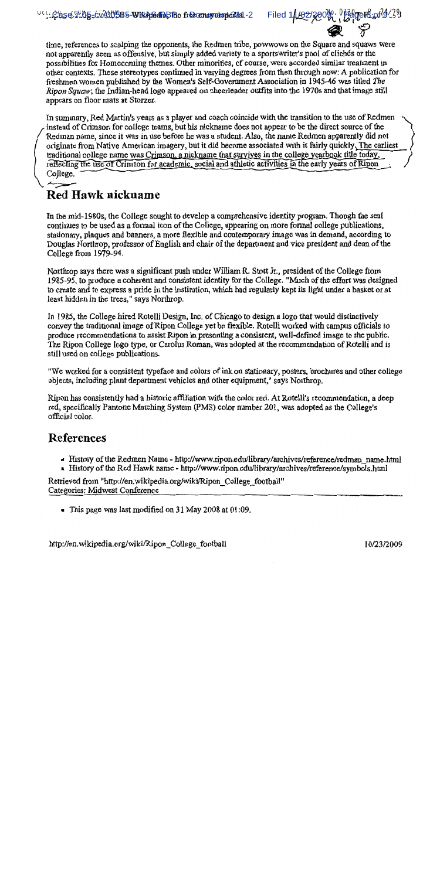

time, references to scalping the opponents, the Redmen tribe, powwows on the Square and squaws were not apparently seen as offensive, but simply added variety to a sportswriter's pool of clichés or the possibilities for Homecoming themes. Other minorities, of course, were accorded similar treatment in other contexts. These stereotypes continued in varying degrees from then through now: A publication for freshmen women published by the Women's Self-Government Association in 1945-46 was titled The Ripon Squaw; the Indian-head logo appeared on cheerleader outfits into the 1970s and that image still appears on floor mats at Storzer.

In summary, Red Martin's years as a player and coach coincide with the transition to the use of Redmen instead of Crimson for college teams, but his nickname does not appear to be the direct source of the Redman name, since it was in use before he was a student. Also, the name Redmen apparently did not originate from Native American imagery, but it did become associated with it fairly quickly. The earliest traditional college name was Crimson, a nickname that survives in the college vearbook title today. reflecting the use of Crimson for academic, social and athletic activities in the early years of Ripon College.

# $\sim$ **Red Hawk nickname**

In the mid-1980s, the College sought to develop a comprehensive identity program. Though the seal continues to be used as a formal icon of the College, appearing on more formal college publications. stationary, plaques and banners, a more flexible and contemporary image was in demand, according to Douglas Northrop, professor of English and chair of the department and vice president and dean of the College from 1979-94.

Northrop says there was a significant push under William R. Stott Jr., president of the College from 1985-95, to produce a coherent and consistent identity for the College. "Much of the effort was designed to create and to express a pride in the institution, which had regularly kept its light under a basket or at least hidden in the trees," says Northrop.

In 1985, the College hired Rotelli Design, Inc. of Chicago to design a logo that would distinctively convey the traditional image of Ripon College yet be flexible. Rotelli worked with campus officials to produce recommendations to assist Ripon in presenting a consistent, well-defined image to the public. The Ripon College logo type, or Carolus Roman, was adopted at the recommendation of Rotelli and is still used on college publications.

"We worked for a consistent typeface and colors of ink on stationary, posters, brochures and other college objects, including plant department vehicles and other equipment," says Northrop.

Ripon has consistently had a historic affiliation with the color red. At Rotelli's recommendation, a deep red, specifically Pantone Matching System (PMS) color number 201, was adopted as the College's official color.

# **References**

- History of the Redmen Name http://www.ripon.edu/library/archives/reference/redman\_name.html
- History of the Red Hawk name http://www.ripon.edu/library/archives/reference/symbols.html

Retrieved from "http://en.wikipedia.org/wiki/Ripon College football" Categories: Midwest Conference

- This page was last modified on  $31$  May 2008 at 01:09.